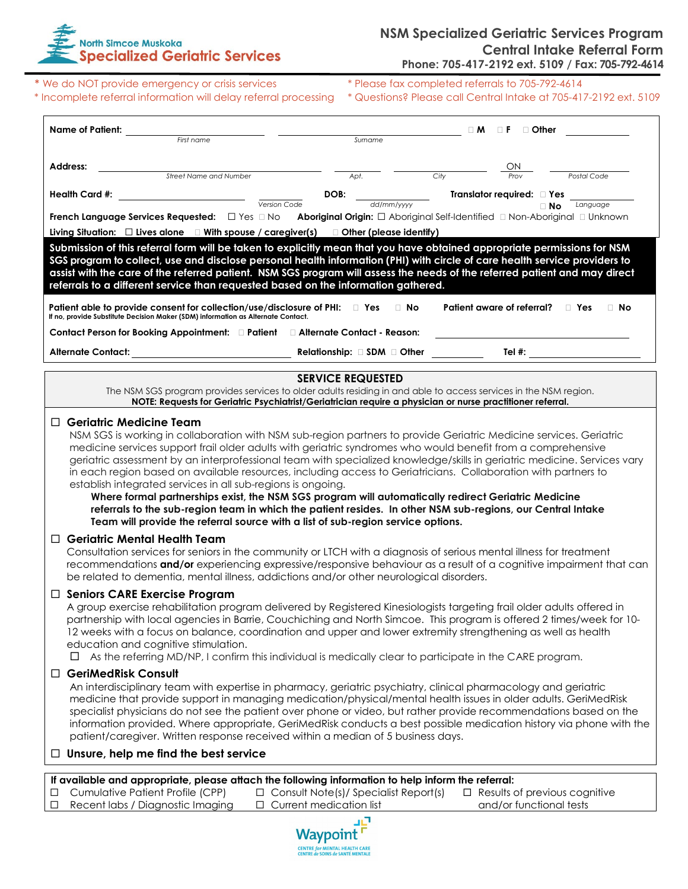

\* We do NOT provide emergency or crisis services \* \* Please fax completed referrals to 705-792-4614<br>\* Incomplete referral information will delay referral processing \* Questions? Please call Central Intake at 705-411

\* Questions? Please call Central Intake at 705-417-2192 ext. 5109

| Name of Patient:                                                                                                                                                                                                                                                                                                                                                                                                                                                                                                                                                                                                                                                                                                                                                                                                                                                                                                                                                                                                              |                                                                                | □ Other<br>$\Box$ M<br>ΠF                                                                                                                                                                                                                |  |  |
|-------------------------------------------------------------------------------------------------------------------------------------------------------------------------------------------------------------------------------------------------------------------------------------------------------------------------------------------------------------------------------------------------------------------------------------------------------------------------------------------------------------------------------------------------------------------------------------------------------------------------------------------------------------------------------------------------------------------------------------------------------------------------------------------------------------------------------------------------------------------------------------------------------------------------------------------------------------------------------------------------------------------------------|--------------------------------------------------------------------------------|------------------------------------------------------------------------------------------------------------------------------------------------------------------------------------------------------------------------------------------|--|--|
| First name                                                                                                                                                                                                                                                                                                                                                                                                                                                                                                                                                                                                                                                                                                                                                                                                                                                                                                                                                                                                                    | Surname                                                                        |                                                                                                                                                                                                                                          |  |  |
| Address:                                                                                                                                                                                                                                                                                                                                                                                                                                                                                                                                                                                                                                                                                                                                                                                                                                                                                                                                                                                                                      |                                                                                | ΟN                                                                                                                                                                                                                                       |  |  |
| Street Name and Number                                                                                                                                                                                                                                                                                                                                                                                                                                                                                                                                                                                                                                                                                                                                                                                                                                                                                                                                                                                                        | Apt.                                                                           | City<br><b>Postal Code</b>                                                                                                                                                                                                               |  |  |
| Health Card #:                                                                                                                                                                                                                                                                                                                                                                                                                                                                                                                                                                                                                                                                                                                                                                                                                                                                                                                                                                                                                | DOB:<br>dd/mm/yyyy<br>Version Code                                             | Translator required: I Yes<br>Language<br>$\Box$ No                                                                                                                                                                                      |  |  |
| French Language Services Requested:<br>$\Box$ Yes $\Box$ No                                                                                                                                                                                                                                                                                                                                                                                                                                                                                                                                                                                                                                                                                                                                                                                                                                                                                                                                                                   |                                                                                | <b>Aboriginal Origin:</b> □ Aboriginal Self-Identified □ Non-Aboriginal □ Unknown                                                                                                                                                        |  |  |
| Living Situation: $\Box$ Lives alone $\Box$ With spouse / caregiver(s) $\Box$ Other (please identify)                                                                                                                                                                                                                                                                                                                                                                                                                                                                                                                                                                                                                                                                                                                                                                                                                                                                                                                         |                                                                                |                                                                                                                                                                                                                                          |  |  |
| Submission of this referral form will be taken to explicitly mean that you have obtained appropriate permissions for NSM<br>SGS program to collect, use and disclose personal health information (PHI) with circle of care health service providers to<br>assist with the care of the referred patient. NSM SGS program will assess the needs of the referred patient and may direct<br>referrals to a different service than requested based on the information gathered.                                                                                                                                                                                                                                                                                                                                                                                                                                                                                                                                                    |                                                                                |                                                                                                                                                                                                                                          |  |  |
| Patient able to provide consent for collection/use/disclosure of PHI: $\Box$ Yes<br>If no, provide Substitute Decision Maker (SDM) information as Alternate Contact.<br>Contact Person for Booking Appointment: D Patient D Alternate Contact - Reason:                                                                                                                                                                                                                                                                                                                                                                                                                                                                                                                                                                                                                                                                                                                                                                       | $\Box$ No                                                                      | Patient aware of referral?<br>$\Box$ No<br>$\Box$ Yes                                                                                                                                                                                    |  |  |
|                                                                                                                                                                                                                                                                                                                                                                                                                                                                                                                                                                                                                                                                                                                                                                                                                                                                                                                                                                                                                               |                                                                                |                                                                                                                                                                                                                                          |  |  |
| <b>Alternate Contact:</b>                                                                                                                                                                                                                                                                                                                                                                                                                                                                                                                                                                                                                                                                                                                                                                                                                                                                                                                                                                                                     | Relationship: $\square$ SDM $\square$ Other                                    | Tel #:                                                                                                                                                                                                                                   |  |  |
| <b>SERVICE REQUESTED</b><br>The NSM SGS program provides services to older adults residing in and able to access services in the NSM region.<br>NOTE: Requests for Geriatric Psychiatrist/Geriatrician require a physician or nurse practitioner referral.                                                                                                                                                                                                                                                                                                                                                                                                                                                                                                                                                                                                                                                                                                                                                                    |                                                                                |                                                                                                                                                                                                                                          |  |  |
| NSM SGS is working in collaboration with NSM sub-region partners to provide Geriatric Medicine services. Geriatric<br>medicine services support frail older adults with geriatric syndromes who would benefit from a comprehensive<br>geriatric assessment by an interprofessional team with specialized knowledge/skills in geriatric medicine. Services vary<br>in each region based on available resources, including access to Geriatricians. Collaboration with partners to<br>establish integrated services in all sub-regions is ongoing.<br>Where formal partnerships exist, the NSM SGS program will automatically redirect Geriatric Medicine<br>referrals to the sub-region team in which the patient resides. In other NSM sub-regions, our Central Intake<br>Team will provide the referral source with a list of sub-region service options.<br><b>Geriatric Mental Health Team</b><br>ப<br>Consultation services for seniors in the community or LTCH with a diagnosis of serious mental illness for treatment |                                                                                |                                                                                                                                                                                                                                          |  |  |
| be related to dementia, mental illness, addictions and/or other neurological disorders.                                                                                                                                                                                                                                                                                                                                                                                                                                                                                                                                                                                                                                                                                                                                                                                                                                                                                                                                       |                                                                                | recommendations and/or experiencing expressive/responsive behaviour as a result of a cognitive impairment that can                                                                                                                       |  |  |
| $\Box$ Seniors CARE Exercise Program<br>A group exercise rehabilitation program delivered by Registered Kinesiologists targeting frail older adults offered in<br>12 weeks with a focus on balance, coordination and upper and lower extremity strengthening as well as health<br>education and cognitive stimulation.<br>As the referring MD/NP, I confirm this individual is medically clear to participate in the CARE program.<br>ப                                                                                                                                                                                                                                                                                                                                                                                                                                                                                                                                                                                       |                                                                                | partnership with local agencies in Barrie, Couchiching and North Simcoe. This program is offered 2 times/week for 10-                                                                                                                    |  |  |
| <b>GeriMedRisk Consult</b><br>ப<br>An interdisciplinary team with expertise in pharmacy, geriatric psychiatry, clinical pharmacology and geriatric<br>medicine that provide support in managing medication/physical/mental health issues in older adults. GeriMedRisk<br>patient/caregiver. Written response received within a median of 5 business days.<br>$\Box$ Unsure, help me find the best service                                                                                                                                                                                                                                                                                                                                                                                                                                                                                                                                                                                                                     |                                                                                | specialist physicians do not see the patient over phone or video, but rather provide recommendations based on the<br>information provided. Where appropriate, GeriMedRisk conducts a best possible medication history via phone with the |  |  |
|                                                                                                                                                                                                                                                                                                                                                                                                                                                                                                                                                                                                                                                                                                                                                                                                                                                                                                                                                                                                                               |                                                                                |                                                                                                                                                                                                                                          |  |  |
| If available and appropriate, please attach the following information to help inform the referral:<br>Cumulative Patient Profile (CPP)<br>□<br>Recent labs / Diagnostic Imaging<br>□                                                                                                                                                                                                                                                                                                                                                                                                                                                                                                                                                                                                                                                                                                                                                                                                                                          | $\Box$ Consult Note(s)/ Specialist Report(s)<br>$\Box$ Current medication list | $\Box$ Results of previous cognitive<br>and/or functional tests                                                                                                                                                                          |  |  |

Waypoint **CENTRE for MENTAL HEALTH CARE**<br>CENTRE de SOINS de SANTÉ MENTALE